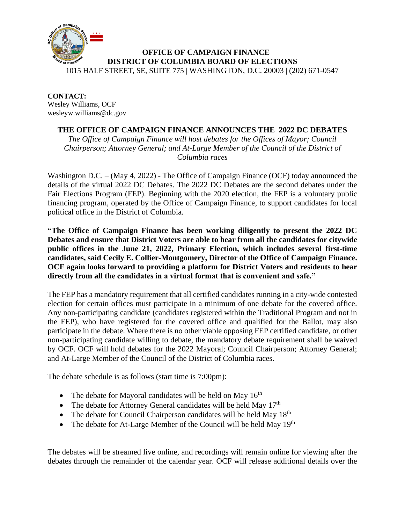

**CONTACT:** Wesley Williams, OCF wesleyw.williams@dc.gov

## **THE OFFICE OF CAMPAIGN FINANCE ANNOUNCES THE 2022 DC DEBATES**

*The Office of Campaign Finance will host debates for the Offices of Mayor; Council Chairperson; Attorney General; and At-Large Member of the Council of the District of Columbia races*

Washington D.C. – (May 4, 2022) - The Office of Campaign Finance (OCF) today announced the details of the virtual 2022 DC Debates. The 2022 DC Debates are the second debates under the Fair Elections Program (FEP). Beginning with the 2020 election, the FEP is a voluntary public financing program, operated by the Office of Campaign Finance, to support candidates for local political office in the District of Columbia.

**"The Office of Campaign Finance has been working diligently to present the 2022 DC Debates and ensure that District Voters are able to hear from all the candidates for citywide public offices in the June 21, 2022, Primary Election, which includes several first-time candidates, said Cecily E. Collier-Montgomery, Director of the Office of Campaign Finance. OCF again looks forward to providing a platform for District Voters and residents to hear directly from all the candidates in a virtual format that is convenient and safe."** 

The FEP has a mandatory requirement that all certified candidates running in a city-wide contested election for certain offices must participate in a minimum of one debate for the covered office. Any non-participating candidate (candidates registered within the Traditional Program and not in the FEP), who have registered for the covered office and qualified for the Ballot, may also participate in the debate. Where there is no other viable opposing FEP certified candidate, or other non-participating candidate willing to debate, the mandatory debate requirement shall be waived by OCF. OCF will hold debates for the 2022 Mayoral; Council Chairperson; Attorney General; and At-Large Member of the Council of the District of Columbia races.

The debate schedule is as follows (start time is 7:00pm):

- The debate for Mayoral candidates will be held on May  $16<sup>th</sup>$
- The debate for Attorney General candidates will be held May  $17<sup>th</sup>$
- The debate for Council Chairperson candidates will be held May  $18<sup>th</sup>$
- The debate for At-Large Member of the Council will be held May  $19<sup>th</sup>$

The debates will be streamed live online, and recordings will remain online for viewing after the debates through the remainder of the calendar year. OCF will release additional details over the